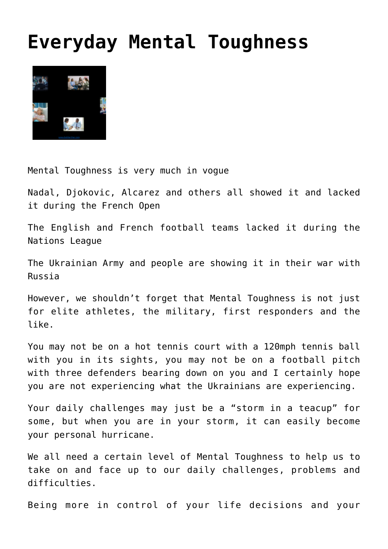## **[Everyday Mental Toughness](http://boblarcher.com/mental-toughness/everyday-mental-toughness/)**



Mental Toughness is very much in vogue

Nadal, Djokovic, Alcarez and others all showed it and lacked it during the French Open

The English and French football teams lacked it during the Nations League

The Ukrainian Army and people are showing it in their war with Russia

However, we shouldn't forget that Mental Toughness is not just for elite athletes, the military, first responders and the like.

You may not be on a hot tennis court with a 120mph tennis ball with you in its sights, you may not be on a football pitch with three defenders bearing down on you and I certainly hope you are not experiencing what the Ukrainians are experiencing.

Your daily challenges may just be a "storm in a teacup" for some, but when you are in your storm, it can easily become your personal hurricane.

We all need a certain level of Mental Toughness to help us to take on and face up to our daily challenges, problems and difficulties.

Being more in control of your life decisions and your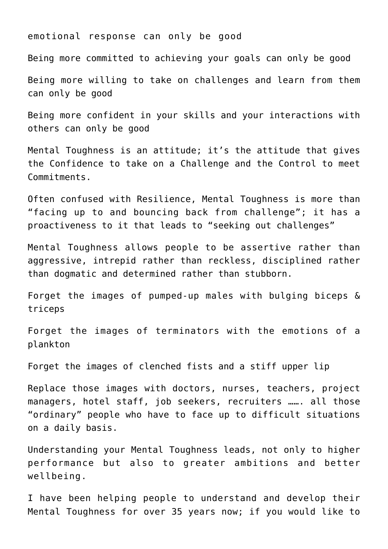emotional response can only be good

Being more committed to achieving your goals can only be good

Being more willing to take on challenges and learn from them can only be good

Being more confident in your skills and your interactions with others can only be good

Mental Toughness is an attitude; it's the attitude that gives the Confidence to take on a Challenge and the Control to meet Commitments.

Often confused with Resilience, Mental Toughness is more than "facing up to and bouncing back from challenge"; it has a proactiveness to it that leads to "seeking out challenges"

Mental Toughness allows people to be assertive rather than aggressive, intrepid rather than reckless, disciplined rather than dogmatic and determined rather than stubborn.

Forget the images of pumped-up males with bulging biceps & triceps

Forget the images of terminators with the emotions of a plankton

Forget the images of clenched fists and a stiff upper lip

Replace those images with doctors, nurses, teachers, project managers, hotel staff, job seekers, recruiters ……. all those "ordinary" people who have to face up to difficult situations on a daily basis.

Understanding your Mental Toughness leads, not only to higher performance but also to greater ambitions and better wellbeing.

I have been helping people to understand and develop their Mental Toughness for over 35 years now; if you would like to